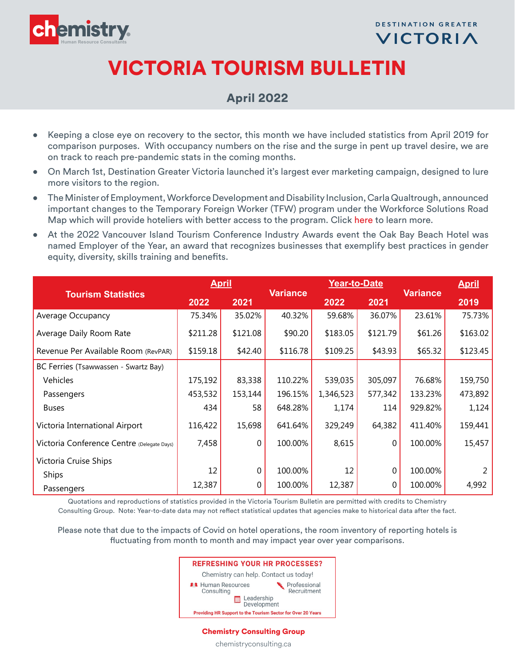

**DESTINATION GREATER** VICTORIA

## VICTORIA TOURISM BULLETIN

## April 2022

- Keeping a close eye on recovery to the sector, this month we have included statistics from April 2019 for comparison purposes. With occupancy numbers on the rise and the surge in pent up travel desire, we are on track to reach pre-pandemic stats in the coming months.
- On March 1st, Destination Greater Victoria launched it's largest ever marketing campaign, designed to lure more visitors to the region.
- The Minister of Employment, Workforce Development and Disability Inclusion, Carla Qualtrough, announced important changes to the Temporary Foreign Worker (TFW) program under the Workforce Solutions Road Map which will provide hoteliers with better access to the program. Click [here](https://www.canada.ca/en/employment-social-development/news/2022/04/government-of-canada-announces-workforce-solutions-road-map--further-changes-to-the-temporary-foreign-worker-program-to-address-labour-shortages-ac.html) to learn more.
- At the 2022 Vancouver Island Tourism Conference Industry Awards event the Oak Bay Beach Hotel was named Employer of the Year, an award that recognizes businesses that exemplify best practices in gender equity, diversity, skills training and benefits.

|                                            | <b>April</b> |          |                 | Year-to-Date |          | <b>Variance</b> | <b>April</b> |
|--------------------------------------------|--------------|----------|-----------------|--------------|----------|-----------------|--------------|
| <b>Tourism Statistics</b>                  | 2022         | 2021     | <b>Variance</b> | 2022         | 2021     |                 | 2019         |
| Average Occupancy                          | 75.34%       | 35.02%   | 40.32%          | 59.68%       | 36.07%   | 23.61%          | 75.73%       |
| Average Daily Room Rate                    | \$211.28     | \$121.08 | \$90.20         | \$183.05     | \$121.79 | \$61.26         | \$163.02     |
| Revenue Per Available Room (RevPAR)        | \$159.18     | \$42.40  | \$116.78        | \$109.25     | \$43.93  | \$65.32         | \$123.45     |
| BC Ferries (Tsawwassen - Swartz Bay)       |              |          |                 |              |          |                 |              |
| Vehicles                                   | 175,192      | 83,338   | 110.22%         | 539,035      | 305,097  | 76.68%          | 159,750      |
| Passengers                                 | 453,532      | 153,144  | 196.15%         | 1,346,523    | 577,342  | 133.23%         | 473,892      |
| <b>Buses</b>                               | 434          | 58       | 648.28%         | 1,174        | 114      | 929.82%         | 1,124        |
| Victoria International Airport             | 116,422      | 15,698   | 641.64%         | 329,249      | 64,382   | 411.40%         | 159,441      |
| Victoria Conference Centre (Delegate Days) | 7,458        | $\Omega$ | 100.00%         | 8,615        | $\Omega$ | 100.00%         | 15,457       |
| Victoria Cruise Ships                      |              |          |                 |              |          |                 |              |
| <b>Ships</b>                               | 12           | $\Omega$ | 100.00%         | 12           | $\theta$ | 100.00%         |              |
| Passengers                                 | 12,387       | $\Omega$ | 100.00%         | 12,387       | $\Omega$ | 100.00%         | 4,992        |

Quotations and reproductions of statistics provided in the Victoria Tourism Bulletin are permitted with credits to Chemistry Consulting Group. Note: Year-to-date data may not reflect statistical updates that agencies make to historical data after the fact.

Please note that due to the impacts of Covid on hotel operations, the room inventory of reporting hotels is fluctuating from month to month and may impact year over year comparisons.



## Chemistry Consulting Group

chemistryconsulting.ca